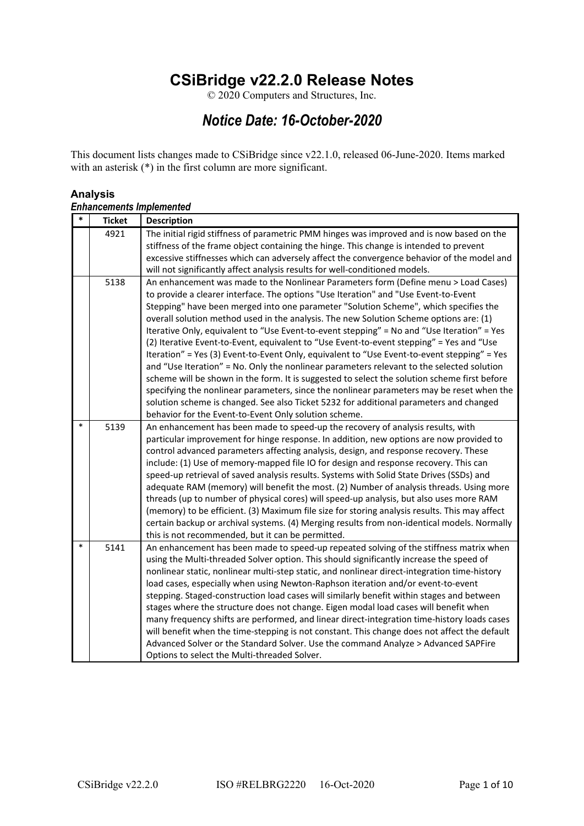# **CSiBridge v22.2.0 Release Notes**

© 2020 Computers and Structures, Inc.

# *Notice Date: 16-October-2020*

This document lists changes made to CSiBridge since v22.1.0, released 06-June-2020. Items marked with an asterisk (\*) in the first column are more significant.

#### **Analysis**

|        |               | <b>Enhancements Implemented</b>                                                                                                                                                              |
|--------|---------------|----------------------------------------------------------------------------------------------------------------------------------------------------------------------------------------------|
| $\ast$ | <b>Ticket</b> | <b>Description</b>                                                                                                                                                                           |
|        | 4921          | The initial rigid stiffness of parametric PMM hinges was improved and is now based on the                                                                                                    |
|        |               | stiffness of the frame object containing the hinge. This change is intended to prevent                                                                                                       |
|        |               | excessive stiffnesses which can adversely affect the convergence behavior of the model and                                                                                                   |
|        |               | will not significantly affect analysis results for well-conditioned models.                                                                                                                  |
|        | 5138          | An enhancement was made to the Nonlinear Parameters form (Define menu > Load Cases)                                                                                                          |
|        |               | to provide a clearer interface. The options "Use Iteration" and "Use Event-to-Event                                                                                                          |
|        |               | Stepping" have been merged into one parameter "Solution Scheme", which specifies the                                                                                                         |
|        |               | overall solution method used in the analysis. The new Solution Scheme options are: (1)                                                                                                       |
|        |               | Iterative Only, equivalent to "Use Event-to-event stepping" = No and "Use Iteration" = Yes                                                                                                   |
|        |               | (2) Iterative Event-to-Event, equivalent to "Use Event-to-event stepping" = Yes and "Use                                                                                                     |
|        |               | Iteration" = Yes (3) Event-to-Event Only, equivalent to "Use Event-to-event stepping" = Yes                                                                                                  |
|        |               | and "Use Iteration" = No. Only the nonlinear parameters relevant to the selected solution                                                                                                    |
|        |               | scheme will be shown in the form. It is suggested to select the solution scheme first before                                                                                                 |
|        |               | specifying the nonlinear parameters, since the nonlinear parameters may be reset when the                                                                                                    |
|        |               | solution scheme is changed. See also Ticket 5232 for additional parameters and changed                                                                                                       |
| $\ast$ |               | behavior for the Event-to-Event Only solution scheme.                                                                                                                                        |
|        | 5139          | An enhancement has been made to speed-up the recovery of analysis results, with                                                                                                              |
|        |               | particular improvement for hinge response. In addition, new options are now provided to                                                                                                      |
|        |               | control advanced parameters affecting analysis, design, and response recovery. These                                                                                                         |
|        |               | include: (1) Use of memory-mapped file IO for design and response recovery. This can                                                                                                         |
|        |               | speed-up retrieval of saved analysis results. Systems with Solid State Drives (SSDs) and<br>adequate RAM (memory) will benefit the most. (2) Number of analysis threads. Using more          |
|        |               |                                                                                                                                                                                              |
|        |               | threads (up to number of physical cores) will speed-up analysis, but also uses more RAM                                                                                                      |
|        |               | (memory) to be efficient. (3) Maximum file size for storing analysis results. This may affect<br>certain backup or archival systems. (4) Merging results from non-identical models. Normally |
|        |               | this is not recommended, but it can be permitted.                                                                                                                                            |
| ∗      | 5141          | An enhancement has been made to speed-up repeated solving of the stiffness matrix when                                                                                                       |
|        |               | using the Multi-threaded Solver option. This should significantly increase the speed of                                                                                                      |
|        |               | nonlinear static, nonlinear multi-step static, and nonlinear direct-integration time-history                                                                                                 |
|        |               | load cases, especially when using Newton-Raphson iteration and/or event-to-event                                                                                                             |
|        |               | stepping. Staged-construction load cases will similarly benefit within stages and between                                                                                                    |
|        |               | stages where the structure does not change. Eigen modal load cases will benefit when                                                                                                         |
|        |               | many frequency shifts are performed, and linear direct-integration time-history loads cases                                                                                                  |
|        |               | will benefit when the time-stepping is not constant. This change does not affect the default                                                                                                 |
|        |               | Advanced Solver or the Standard Solver. Use the command Analyze > Advanced SAPFire                                                                                                           |
|        |               | Options to select the Multi-threaded Solver.                                                                                                                                                 |
|        |               |                                                                                                                                                                                              |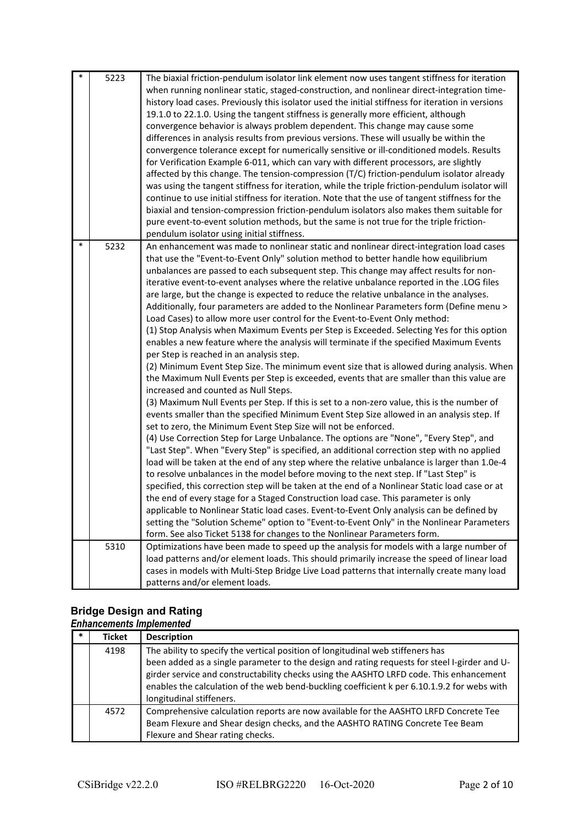| $\ast$ | 5223 | The biaxial friction-pendulum isolator link element now uses tangent stiffness for iteration<br>when running nonlinear static, staged-construction, and nonlinear direct-integration time-<br>history load cases. Previously this isolator used the initial stiffness for iteration in versions<br>19.1.0 to 22.1.0. Using the tangent stiffness is generally more efficient, although<br>convergence behavior is always problem dependent. This change may cause some<br>differences in analysis results from previous versions. These will usually be within the<br>convergence tolerance except for numerically sensitive or ill-conditioned models. Results<br>for Verification Example 6-011, which can vary with different processors, are slightly<br>affected by this change. The tension-compression (T/C) friction-pendulum isolator already<br>was using the tangent stiffness for iteration, while the triple friction-pendulum isolator will<br>continue to use initial stiffness for iteration. Note that the use of tangent stiffness for the<br>biaxial and tension-compression friction-pendulum isolators also makes them suitable for<br>pure event-to-event solution methods, but the same is not true for the triple friction-                                                                                                                                                                                                                                                                                                                                                                                                                                                                                                                                                                                                                                                                                                                                                                                                                                                                                                                                                                                                                       |
|--------|------|---------------------------------------------------------------------------------------------------------------------------------------------------------------------------------------------------------------------------------------------------------------------------------------------------------------------------------------------------------------------------------------------------------------------------------------------------------------------------------------------------------------------------------------------------------------------------------------------------------------------------------------------------------------------------------------------------------------------------------------------------------------------------------------------------------------------------------------------------------------------------------------------------------------------------------------------------------------------------------------------------------------------------------------------------------------------------------------------------------------------------------------------------------------------------------------------------------------------------------------------------------------------------------------------------------------------------------------------------------------------------------------------------------------------------------------------------------------------------------------------------------------------------------------------------------------------------------------------------------------------------------------------------------------------------------------------------------------------------------------------------------------------------------------------------------------------------------------------------------------------------------------------------------------------------------------------------------------------------------------------------------------------------------------------------------------------------------------------------------------------------------------------------------------------------------------------------------------------------------------------------------------------------|
| $\ast$ | 5232 | pendulum isolator using initial stiffness.<br>An enhancement was made to nonlinear static and nonlinear direct-integration load cases<br>that use the "Event-to-Event Only" solution method to better handle how equilibrium<br>unbalances are passed to each subsequent step. This change may affect results for non-<br>iterative event-to-event analyses where the relative unbalance reported in the .LOG files<br>are large, but the change is expected to reduce the relative unbalance in the analyses.<br>Additionally, four parameters are added to the Nonlinear Parameters form (Define menu ><br>Load Cases) to allow more user control for the Event-to-Event Only method:<br>(1) Stop Analysis when Maximum Events per Step is Exceeded. Selecting Yes for this option<br>enables a new feature where the analysis will terminate if the specified Maximum Events<br>per Step is reached in an analysis step.<br>(2) Minimum Event Step Size. The minimum event size that is allowed during analysis. When<br>the Maximum Null Events per Step is exceeded, events that are smaller than this value are<br>increased and counted as Null Steps.<br>(3) Maximum Null Events per Step. If this is set to a non-zero value, this is the number of<br>events smaller than the specified Minimum Event Step Size allowed in an analysis step. If<br>set to zero, the Minimum Event Step Size will not be enforced.<br>(4) Use Correction Step for Large Unbalance. The options are "None", "Every Step", and<br>"Last Step". When "Every Step" is specified, an additional correction step with no applied<br>load will be taken at the end of any step where the relative unbalance is larger than 1.0e-4<br>to resolve unbalances in the model before moving to the next step. If "Last Step" is<br>specified, this correction step will be taken at the end of a Nonlinear Static load case or at<br>the end of every stage for a Staged Construction load case. This parameter is only<br>applicable to Nonlinear Static load cases. Event-to-Event Only analysis can be defined by<br>setting the "Solution Scheme" option to "Event-to-Event Only" in the Nonlinear Parameters<br>form. See also Ticket 5138 for changes to the Nonlinear Parameters form. |
|        | 5310 | Optimizations have been made to speed up the analysis for models with a large number of<br>load patterns and/or element loads. This should primarily increase the speed of linear load<br>cases in models with Multi-Step Bridge Live Load patterns that internally create many load<br>patterns and/or element loads.                                                                                                                                                                                                                                                                                                                                                                                                                                                                                                                                                                                                                                                                                                                                                                                                                                                                                                                                                                                                                                                                                                                                                                                                                                                                                                                                                                                                                                                                                                                                                                                                                                                                                                                                                                                                                                                                                                                                                    |
|        |      |                                                                                                                                                                                                                                                                                                                                                                                                                                                                                                                                                                                                                                                                                                                                                                                                                                                                                                                                                                                                                                                                                                                                                                                                                                                                                                                                                                                                                                                                                                                                                                                                                                                                                                                                                                                                                                                                                                                                                                                                                                                                                                                                                                                                                                                                           |

## **Bridge Design and Rating**

|        | <b>Enhancements Implemented</b> |                                                                                                                                                                                                                                                                                                                                                                                                       |
|--------|---------------------------------|-------------------------------------------------------------------------------------------------------------------------------------------------------------------------------------------------------------------------------------------------------------------------------------------------------------------------------------------------------------------------------------------------------|
| $\ast$ | <b>Ticket</b>                   | <b>Description</b>                                                                                                                                                                                                                                                                                                                                                                                    |
|        | 4198                            | The ability to specify the vertical position of longitudinal web stiffeners has<br>been added as a single parameter to the design and rating requests for steel I-girder and U-<br>girder service and constructability checks using the AASHTO LRFD code. This enhancement<br>enables the calculation of the web bend-buckling coefficient k per 6.10.1.9.2 for webs with<br>longitudinal stiffeners. |
|        | 4572                            | Comprehensive calculation reports are now available for the AASHTO LRFD Concrete Tee<br>Beam Flexure and Shear design checks, and the AASHTO RATING Concrete Tee Beam<br>Flexure and Shear rating checks.                                                                                                                                                                                             |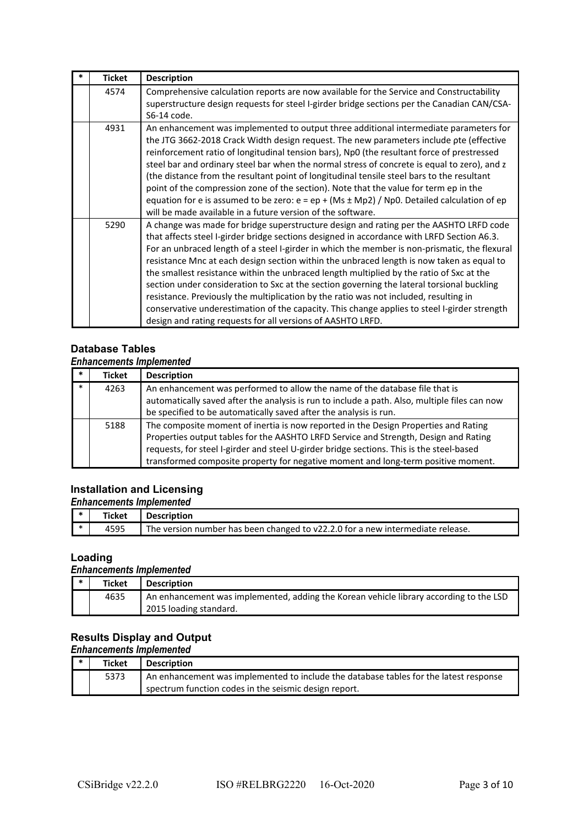| * | <b>Ticket</b> | <b>Description</b>                                                                                                                                                                                                                                                                                                                                                                                                                                                                                                                                                                                                                                                                                                                                                                                                                   |
|---|---------------|--------------------------------------------------------------------------------------------------------------------------------------------------------------------------------------------------------------------------------------------------------------------------------------------------------------------------------------------------------------------------------------------------------------------------------------------------------------------------------------------------------------------------------------------------------------------------------------------------------------------------------------------------------------------------------------------------------------------------------------------------------------------------------------------------------------------------------------|
|   | 4574          | Comprehensive calculation reports are now available for the Service and Constructability<br>superstructure design requests for steel I-girder bridge sections per the Canadian CAN/CSA-<br>S6-14 code.                                                                                                                                                                                                                                                                                                                                                                                                                                                                                                                                                                                                                               |
|   | 4931          | An enhancement was implemented to output three additional intermediate parameters for<br>the JTG 3662-2018 Crack Width design request. The new parameters include pte (effective<br>reinforcement ratio of longitudinal tension bars), Np0 (the resultant force of prestressed<br>steel bar and ordinary steel bar when the normal stress of concrete is equal to zero), and z<br>(the distance from the resultant point of longitudinal tensile steel bars to the resultant<br>point of the compression zone of the section). Note that the value for term ep in the<br>equation for e is assumed to be zero: $e = ep + (Ms \pm Mp2) / Np0$ . Detailed calculation of ep<br>will be made available in a future version of the software.                                                                                             |
|   | 5290          | A change was made for bridge superstructure design and rating per the AASHTO LRFD code<br>that affects steel I-girder bridge sections designed in accordance with LRFD Section A6.3.<br>For an unbraced length of a steel I-girder in which the member is non-prismatic, the flexural<br>resistance Mnc at each design section within the unbraced length is now taken as equal to<br>the smallest resistance within the unbraced length multiplied by the ratio of Sxc at the<br>section under consideration to Sxc at the section governing the lateral torsional buckling<br>resistance. Previously the multiplication by the ratio was not included, resulting in<br>conservative underestimation of the capacity. This change applies to steel I-girder strength<br>design and rating requests for all versions of AASHTO LRFD. |

#### **Database Tables** *Enhancements Implemented*

| <b>Ticket</b> | <b>Description</b>                                                                                                                                                                                                                                                                                                                                           |
|---------------|--------------------------------------------------------------------------------------------------------------------------------------------------------------------------------------------------------------------------------------------------------------------------------------------------------------------------------------------------------------|
| 4263          | An enhancement was performed to allow the name of the database file that is<br>automatically saved after the analysis is run to include a path. Also, multiple files can now<br>be specified to be automatically saved after the analysis is run.                                                                                                            |
| 5188          | The composite moment of inertia is now reported in the Design Properties and Rating<br>Properties output tables for the AASHTO LRFD Service and Strength, Design and Rating<br>requests, for steel I-girder and steel U-girder bridge sections. This is the steel-based<br>transformed composite property for negative moment and long-term positive moment. |

# **Installation and Licensing**

## *Enhancements Implemented*

| Ticket | Description                                                                    |
|--------|--------------------------------------------------------------------------------|
| 4595   | The version number has been changed to v22.2.0 for a new intermediate release. |

## **Loading**

## *Enhancements Implemented*

| Ticket | <b>Description</b>                                                                     |
|--------|----------------------------------------------------------------------------------------|
| 4635   | An enhancement was implemented, adding the Korean vehicle library according to the LSD |
|        | 2015 loading standard.                                                                 |

## **Results Display and Output**

#### *Enhancements Implemented*

| Ticket | <b>Description</b>                                                                    |
|--------|---------------------------------------------------------------------------------------|
| 5373   | An enhancement was implemented to include the database tables for the latest response |
|        | spectrum function codes in the seismic design report.                                 |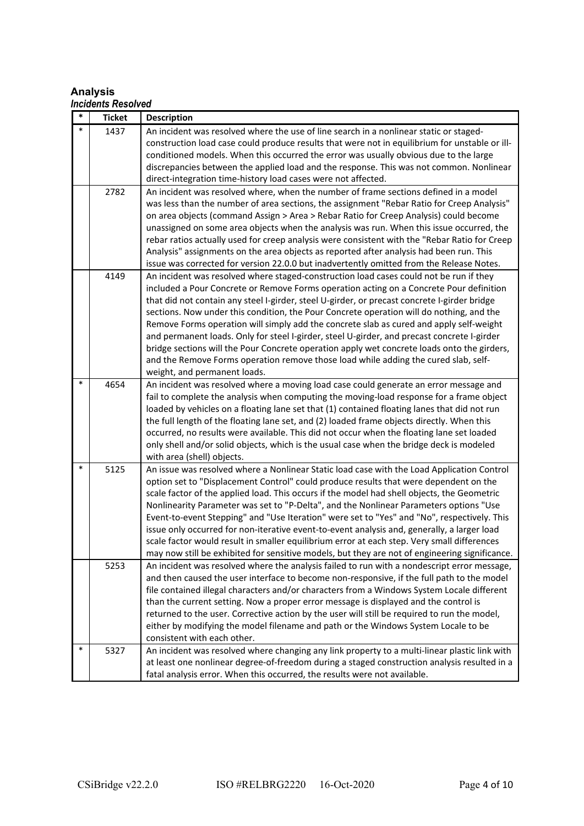## **Analysis**

|        | Incidents Resolved |                                                                                                                                                                                                                                                                                                                                                                                                                                                                                                                                                                                                                                                                                                                                                                                               |
|--------|--------------------|-----------------------------------------------------------------------------------------------------------------------------------------------------------------------------------------------------------------------------------------------------------------------------------------------------------------------------------------------------------------------------------------------------------------------------------------------------------------------------------------------------------------------------------------------------------------------------------------------------------------------------------------------------------------------------------------------------------------------------------------------------------------------------------------------|
| $\ast$ | <b>Ticket</b>      | <b>Description</b>                                                                                                                                                                                                                                                                                                                                                                                                                                                                                                                                                                                                                                                                                                                                                                            |
| $\ast$ | 1437               | An incident was resolved where the use of line search in a nonlinear static or staged-<br>construction load case could produce results that were not in equilibrium for unstable or ill-<br>conditioned models. When this occurred the error was usually obvious due to the large<br>discrepancies between the applied load and the response. This was not common. Nonlinear<br>direct-integration time-history load cases were not affected.                                                                                                                                                                                                                                                                                                                                                 |
|        | 2782               | An incident was resolved where, when the number of frame sections defined in a model<br>was less than the number of area sections, the assignment "Rebar Ratio for Creep Analysis"<br>on area objects (command Assign > Area > Rebar Ratio for Creep Analysis) could become<br>unassigned on some area objects when the analysis was run. When this issue occurred, the<br>rebar ratios actually used for creep analysis were consistent with the "Rebar Ratio for Creep<br>Analysis" assignments on the area objects as reported after analysis had been run. This<br>issue was corrected for version 22.0.0 but inadvertently omitted from the Release Notes.                                                                                                                               |
|        | 4149               | An incident was resolved where staged-construction load cases could not be run if they<br>included a Pour Concrete or Remove Forms operation acting on a Concrete Pour definition<br>that did not contain any steel I-girder, steel U-girder, or precast concrete I-girder bridge<br>sections. Now under this condition, the Pour Concrete operation will do nothing, and the<br>Remove Forms operation will simply add the concrete slab as cured and apply self-weight<br>and permanent loads. Only for steel I-girder, steel U-girder, and precast concrete I-girder<br>bridge sections will the Pour Concrete operation apply wet concrete loads onto the girders,<br>and the Remove Forms operation remove those load while adding the cured slab, self-<br>weight, and permanent loads. |
| $\ast$ | 4654               | An incident was resolved where a moving load case could generate an error message and<br>fail to complete the analysis when computing the moving-load response for a frame object<br>loaded by vehicles on a floating lane set that (1) contained floating lanes that did not run<br>the full length of the floating lane set, and (2) loaded frame objects directly. When this<br>occurred, no results were available. This did not occur when the floating lane set loaded<br>only shell and/or solid objects, which is the usual case when the bridge deck is modeled<br>with area (shell) objects.                                                                                                                                                                                        |
| $\ast$ | 5125               | An issue was resolved where a Nonlinear Static load case with the Load Application Control<br>option set to "Displacement Control" could produce results that were dependent on the<br>scale factor of the applied load. This occurs if the model had shell objects, the Geometric<br>Nonlinearity Parameter was set to "P-Delta", and the Nonlinear Parameters options "Use<br>Event-to-event Stepping" and "Use Iteration" were set to "Yes" and "No", respectively. This<br>issue only occurred for non-iterative event-to-event analysis and, generally, a larger load<br>scale factor would result in smaller equilibrium error at each step. Very small differences<br>may now still be exhibited for sensitive models, but they are not of engineering significance.                   |
|        | 5253               | An incident was resolved where the analysis failed to run with a nondescript error message,<br>and then caused the user interface to become non-responsive, if the full path to the model<br>file contained illegal characters and/or characters from a Windows System Locale different<br>than the current setting. Now a proper error message is displayed and the control is<br>returned to the user. Corrective action by the user will still be required to run the model,<br>either by modifying the model filename and path or the Windows System Locale to be<br>consistent with each other.                                                                                                                                                                                          |
| ∗      | 5327               | An incident was resolved where changing any link property to a multi-linear plastic link with<br>at least one nonlinear degree-of-freedom during a staged construction analysis resulted in a<br>fatal analysis error. When this occurred, the results were not available.                                                                                                                                                                                                                                                                                                                                                                                                                                                                                                                    |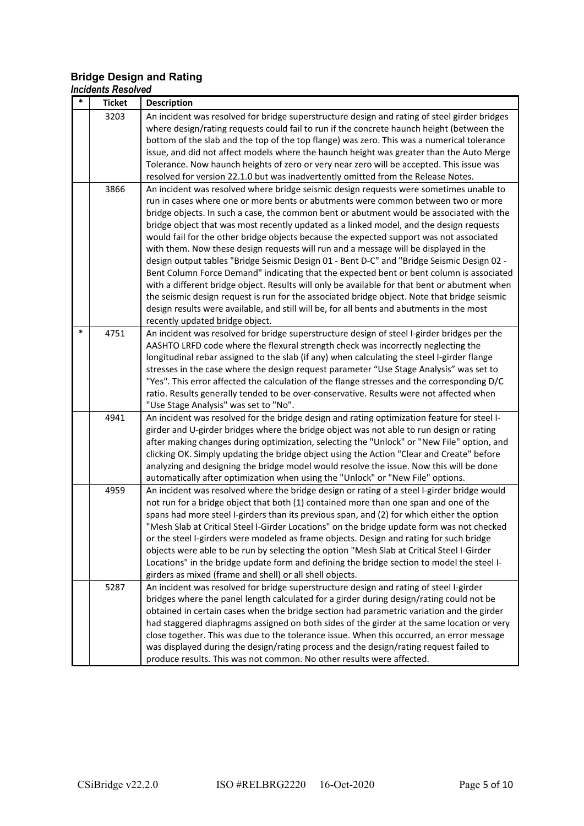## **Bridge Design and Rating** *Incidents Resolved*

| *      | <b>Ticket</b> | <b>Description</b>                                                                                                                                                                     |
|--------|---------------|----------------------------------------------------------------------------------------------------------------------------------------------------------------------------------------|
|        | 3203          | An incident was resolved for bridge superstructure design and rating of steel girder bridges                                                                                           |
|        |               | where design/rating requests could fail to run if the concrete haunch height (between the                                                                                              |
|        |               | bottom of the slab and the top of the top flange) was zero. This was a numerical tolerance                                                                                             |
|        |               | issue, and did not affect models where the haunch height was greater than the Auto Merge                                                                                               |
|        |               | Tolerance. Now haunch heights of zero or very near zero will be accepted. This issue was                                                                                               |
|        |               | resolved for version 22.1.0 but was inadvertently omitted from the Release Notes.                                                                                                      |
|        | 3866          | An incident was resolved where bridge seismic design requests were sometimes unable to                                                                                                 |
|        |               | run in cases where one or more bents or abutments were common between two or more                                                                                                      |
|        |               | bridge objects. In such a case, the common bent or abutment would be associated with the                                                                                               |
|        |               | bridge object that was most recently updated as a linked model, and the design requests                                                                                                |
|        |               | would fail for the other bridge objects because the expected support was not associated                                                                                                |
|        |               | with them. Now these design requests will run and a message will be displayed in the                                                                                                   |
|        |               | design output tables "Bridge Seismic Design 01 - Bent D-C" and "Bridge Seismic Design 02 -<br>Bent Column Force Demand" indicating that the expected bent or bent column is associated |
|        |               | with a different bridge object. Results will only be available for that bent or abutment when                                                                                          |
|        |               | the seismic design request is run for the associated bridge object. Note that bridge seismic                                                                                           |
|        |               | design results were available, and still will be, for all bents and abutments in the most                                                                                              |
|        |               | recently updated bridge object.                                                                                                                                                        |
| $\ast$ | 4751          | An incident was resolved for bridge superstructure design of steel I-girder bridges per the                                                                                            |
|        |               | AASHTO LRFD code where the flexural strength check was incorrectly neglecting the                                                                                                      |
|        |               | longitudinal rebar assigned to the slab (if any) when calculating the steel I-girder flange                                                                                            |
|        |               | stresses in the case where the design request parameter "Use Stage Analysis" was set to                                                                                                |
|        |               | "Yes". This error affected the calculation of the flange stresses and the corresponding D/C                                                                                            |
|        |               | ratio. Results generally tended to be over-conservative. Results were not affected when                                                                                                |
|        |               | "Use Stage Analysis" was set to "No".                                                                                                                                                  |
|        | 4941          | An incident was resolved for the bridge design and rating optimization feature for steel I-                                                                                            |
|        |               | girder and U-girder bridges where the bridge object was not able to run design or rating                                                                                               |
|        |               | after making changes during optimization, selecting the "Unlock" or "New File" option, and                                                                                             |
|        |               | clicking OK. Simply updating the bridge object using the Action "Clear and Create" before                                                                                              |
|        |               | analyzing and designing the bridge model would resolve the issue. Now this will be done                                                                                                |
|        |               | automatically after optimization when using the "Unlock" or "New File" options.                                                                                                        |
|        | 4959          | An incident was resolved where the bridge design or rating of a steel I-girder bridge would<br>not run for a bridge object that both (1) contained more than one span and one of the   |
|        |               | spans had more steel I-girders than its previous span, and (2) for which either the option                                                                                             |
|        |               | "Mesh Slab at Critical Steel I-Girder Locations" on the bridge update form was not checked                                                                                             |
|        |               | or the steel I-girders were modeled as frame objects. Design and rating for such bridge                                                                                                |
|        |               | objects were able to be run by selecting the option "Mesh Slab at Critical Steel I-Girder                                                                                              |
|        |               | Locations" in the bridge update form and defining the bridge section to model the steel I-                                                                                             |
|        |               | girders as mixed (frame and shell) or all shell objects.                                                                                                                               |
|        | 5287          | An incident was resolved for bridge superstructure design and rating of steel I-girder                                                                                                 |
|        |               | bridges where the panel length calculated for a girder during design/rating could not be                                                                                               |
|        |               | obtained in certain cases when the bridge section had parametric variation and the girder                                                                                              |
|        |               | had staggered diaphragms assigned on both sides of the girder at the same location or very                                                                                             |
|        |               | close together. This was due to the tolerance issue. When this occurred, an error message                                                                                              |
|        |               | was displayed during the design/rating process and the design/rating request failed to                                                                                                 |
|        |               | produce results. This was not common. No other results were affected.                                                                                                                  |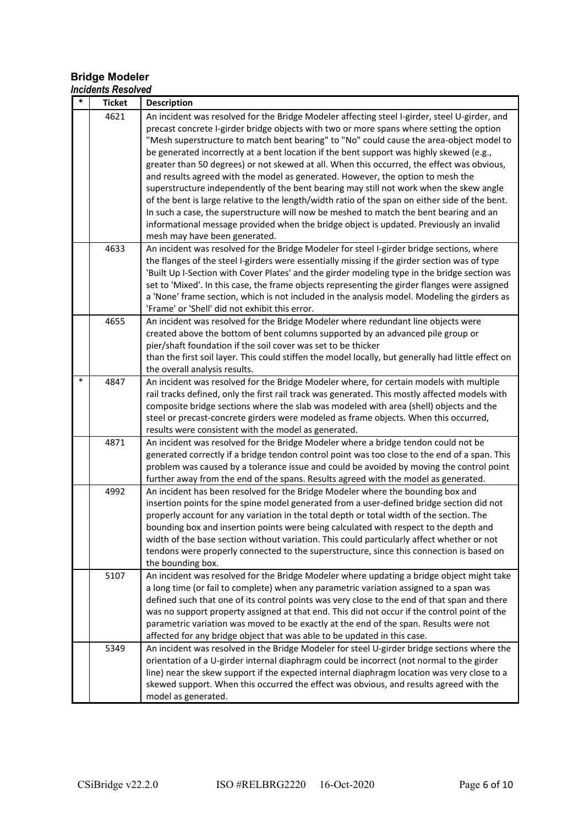### **Bridge Modeler** *Incidents Resolved*

| $\ast$ | <b>Ticket</b> | <b>Description</b>                                                                                                                                                                       |
|--------|---------------|------------------------------------------------------------------------------------------------------------------------------------------------------------------------------------------|
|        | 4621          | An incident was resolved for the Bridge Modeler affecting steel I-girder, steel U-girder, and                                                                                            |
|        |               | precast concrete I-girder bridge objects with two or more spans where setting the option                                                                                                 |
|        |               | "Mesh superstructure to match bent bearing" to "No" could cause the area-object model to                                                                                                 |
|        |               | be generated incorrectly at a bent location if the bent support was highly skewed (e.g.,                                                                                                 |
|        |               | greater than 50 degrees) or not skewed at all. When this occurred, the effect was obvious,                                                                                               |
|        |               | and results agreed with the model as generated. However, the option to mesh the                                                                                                          |
|        |               | superstructure independently of the bent bearing may still not work when the skew angle                                                                                                  |
|        |               | of the bent is large relative to the length/width ratio of the span on either side of the bent.                                                                                          |
|        |               | In such a case, the superstructure will now be meshed to match the bent bearing and an                                                                                                   |
|        |               | informational message provided when the bridge object is updated. Previously an invalid                                                                                                  |
|        | 4633          | mesh may have been generated.<br>An incident was resolved for the Bridge Modeler for steel I-girder bridge sections, where                                                               |
|        |               | the flanges of the steel I-girders were essentially missing if the girder section was of type                                                                                            |
|        |               | 'Built Up I-Section with Cover Plates' and the girder modeling type in the bridge section was                                                                                            |
|        |               | set to 'Mixed'. In this case, the frame objects representing the girder flanges were assigned                                                                                            |
|        |               | a 'None' frame section, which is not included in the analysis model. Modeling the girders as                                                                                             |
|        |               | 'Frame' or 'Shell' did not exhibit this error.                                                                                                                                           |
|        | 4655          | An incident was resolved for the Bridge Modeler where redundant line objects were                                                                                                        |
|        |               | created above the bottom of bent columns supported by an advanced pile group or                                                                                                          |
|        |               | pier/shaft foundation if the soil cover was set to be thicker                                                                                                                            |
|        |               | than the first soil layer. This could stiffen the model locally, but generally had little effect on                                                                                      |
|        |               | the overall analysis results.                                                                                                                                                            |
| $\ast$ | 4847          | An incident was resolved for the Bridge Modeler where, for certain models with multiple                                                                                                  |
|        |               | rail tracks defined, only the first rail track was generated. This mostly affected models with                                                                                           |
|        |               | composite bridge sections where the slab was modeled with area (shell) objects and the                                                                                                   |
|        |               | steel or precast-concrete girders were modeled as frame objects. When this occurred,                                                                                                     |
|        | 4871          | results were consistent with the model as generated.                                                                                                                                     |
|        |               | An incident was resolved for the Bridge Modeler where a bridge tendon could not be<br>generated correctly if a bridge tendon control point was too close to the end of a span. This      |
|        |               | problem was caused by a tolerance issue and could be avoided by moving the control point                                                                                                 |
|        |               | further away from the end of the spans. Results agreed with the model as generated.                                                                                                      |
|        | 4992          | An incident has been resolved for the Bridge Modeler where the bounding box and                                                                                                          |
|        |               | insertion points for the spine model generated from a user-defined bridge section did not                                                                                                |
|        |               | properly account for any variation in the total depth or total width of the section. The                                                                                                 |
|        |               | bounding box and insertion points were being calculated with respect to the depth and                                                                                                    |
|        |               | width of the base section without variation. This could particularly affect whether or not                                                                                               |
|        |               | tendons were properly connected to the superstructure, since this connection is based on                                                                                                 |
|        |               | the bounding box.                                                                                                                                                                        |
|        | 5107          | An incident was resolved for the Bridge Modeler where updating a bridge object might take                                                                                                |
|        |               | a long time (or fail to complete) when any parametric variation assigned to a span was                                                                                                   |
|        |               | defined such that one of its control points was very close to the end of that span and there                                                                                             |
|        |               | was no support property assigned at that end. This did not occur if the control point of the                                                                                             |
|        |               | parametric variation was moved to be exactly at the end of the span. Results were not                                                                                                    |
|        |               | affected for any bridge object that was able to be updated in this case.                                                                                                                 |
|        | 5349          | An incident was resolved in the Bridge Modeler for steel U-girder bridge sections where the<br>orientation of a U-girder internal diaphragm could be incorrect (not normal to the girder |
|        |               | line) near the skew support if the expected internal diaphragm location was very close to a                                                                                              |
|        |               | skewed support. When this occurred the effect was obvious, and results agreed with the                                                                                                   |
|        |               | model as generated.                                                                                                                                                                      |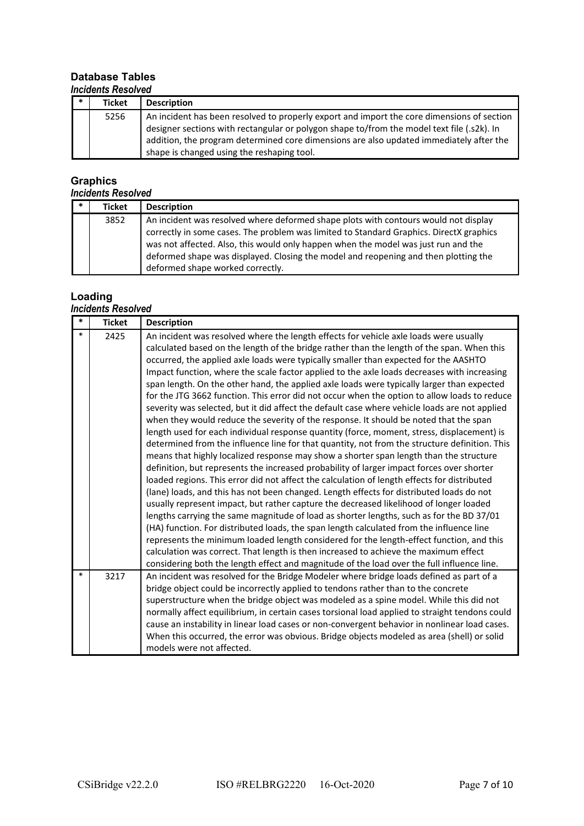### **Database Tables** *Incidents Resolved*

| $\ast$ | <b>Ticket</b> | <b>Description</b>                                                                                                                                                                                                                                                                  |
|--------|---------------|-------------------------------------------------------------------------------------------------------------------------------------------------------------------------------------------------------------------------------------------------------------------------------------|
|        | 5256          | An incident has been resolved to properly export and import the core dimensions of section<br>designer sections with rectangular or polygon shape to/from the model text file (.s2k). In<br>addition, the program determined core dimensions are also updated immediately after the |
|        |               | shape is changed using the reshaping tool.                                                                                                                                                                                                                                          |

# **Graphics**

### *Incidents Resolved*

| An incident was resolved where deformed shape plots with contours would not display<br>correctly in some cases. The problem was limited to Standard Graphics. DirectX graphics<br>was not affected. Also, this would only happen when the model was just run and the<br>deformed shape was displayed. Closing the model and reopening and then plotting the |
|-------------------------------------------------------------------------------------------------------------------------------------------------------------------------------------------------------------------------------------------------------------------------------------------------------------------------------------------------------------|
|                                                                                                                                                                                                                                                                                                                                                             |

## **Loading**

### *Incidents Resolved*

| *      | <b>Ticket</b> | <b>Description</b>                                                                                                                                                                                                                                                                                                                                                                                                                                                                                                                                                                                                                                                                                                                                                                                                                                                                                                                                                                                                                                                                                                                                                                                                                                                                                                                                                                                                                                                                                                                                                                                                                                                                                                                                                                                                                                                                                                      |
|--------|---------------|-------------------------------------------------------------------------------------------------------------------------------------------------------------------------------------------------------------------------------------------------------------------------------------------------------------------------------------------------------------------------------------------------------------------------------------------------------------------------------------------------------------------------------------------------------------------------------------------------------------------------------------------------------------------------------------------------------------------------------------------------------------------------------------------------------------------------------------------------------------------------------------------------------------------------------------------------------------------------------------------------------------------------------------------------------------------------------------------------------------------------------------------------------------------------------------------------------------------------------------------------------------------------------------------------------------------------------------------------------------------------------------------------------------------------------------------------------------------------------------------------------------------------------------------------------------------------------------------------------------------------------------------------------------------------------------------------------------------------------------------------------------------------------------------------------------------------------------------------------------------------------------------------------------------------|
| $\ast$ | 2425          | An incident was resolved where the length effects for vehicle axle loads were usually<br>calculated based on the length of the bridge rather than the length of the span. When this<br>occurred, the applied axle loads were typically smaller than expected for the AASHTO<br>Impact function, where the scale factor applied to the axle loads decreases with increasing<br>span length. On the other hand, the applied axle loads were typically larger than expected<br>for the JTG 3662 function. This error did not occur when the option to allow loads to reduce<br>severity was selected, but it did affect the default case where vehicle loads are not applied<br>when they would reduce the severity of the response. It should be noted that the span<br>length used for each individual response quantity (force, moment, stress, displacement) is<br>determined from the influence line for that quantity, not from the structure definition. This<br>means that highly localized response may show a shorter span length than the structure<br>definition, but represents the increased probability of larger impact forces over shorter<br>loaded regions. This error did not affect the calculation of length effects for distributed<br>(lane) loads, and this has not been changed. Length effects for distributed loads do not<br>usually represent impact, but rather capture the decreased likelihood of longer loaded<br>lengths carrying the same magnitude of load as shorter lengths, such as for the BD 37/01<br>(HA) function. For distributed loads, the span length calculated from the influence line<br>represents the minimum loaded length considered for the length-effect function, and this<br>calculation was correct. That length is then increased to achieve the maximum effect<br>considering both the length effect and magnitude of the load over the full influence line. |
| $\ast$ | 3217          | An incident was resolved for the Bridge Modeler where bridge loads defined as part of a<br>bridge object could be incorrectly applied to tendons rather than to the concrete<br>superstructure when the bridge object was modeled as a spine model. While this did not<br>normally affect equilibrium, in certain cases torsional load applied to straight tendons could<br>cause an instability in linear load cases or non-convergent behavior in nonlinear load cases.<br>When this occurred, the error was obvious. Bridge objects modeled as area (shell) or solid<br>models were not affected.                                                                                                                                                                                                                                                                                                                                                                                                                                                                                                                                                                                                                                                                                                                                                                                                                                                                                                                                                                                                                                                                                                                                                                                                                                                                                                                    |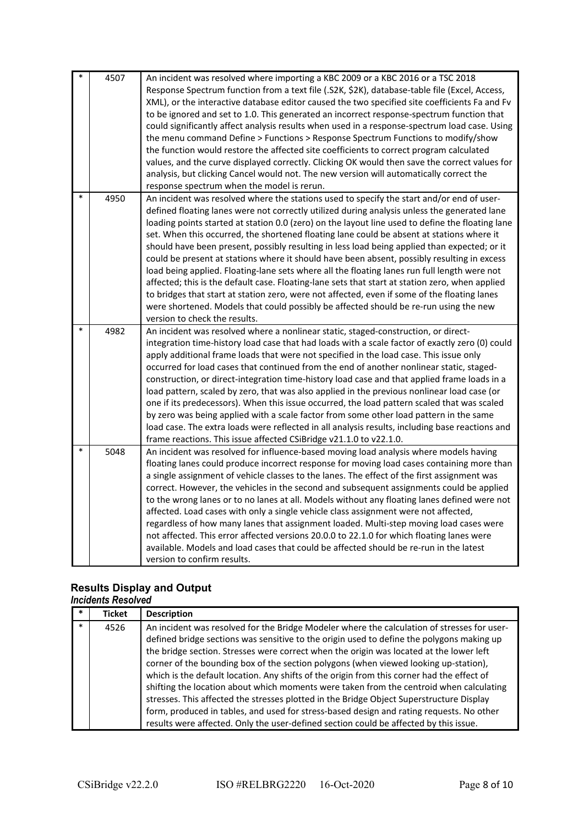| $\ast$ | 4507 | An incident was resolved where importing a KBC 2009 or a KBC 2016 or a TSC 2018                                                                                                     |
|--------|------|-------------------------------------------------------------------------------------------------------------------------------------------------------------------------------------|
|        |      | Response Spectrum function from a text file (.S2K, \$2K), database-table file (Excel, Access,                                                                                       |
|        |      | XML), or the interactive database editor caused the two specified site coefficients Fa and Fv                                                                                       |
|        |      | to be ignored and set to 1.0. This generated an incorrect response-spectrum function that                                                                                           |
|        |      | could significantly affect analysis results when used in a response-spectrum load case. Using                                                                                       |
|        |      | the menu command Define > Functions > Response Spectrum Functions to modify/show                                                                                                    |
|        |      | the function would restore the affected site coefficients to correct program calculated                                                                                             |
|        |      | values, and the curve displayed correctly. Clicking OK would then save the correct values for                                                                                       |
|        |      | analysis, but clicking Cancel would not. The new version will automatically correct the                                                                                             |
|        |      | response spectrum when the model is rerun.                                                                                                                                          |
| $\ast$ | 4950 | An incident was resolved where the stations used to specify the start and/or end of user-                                                                                           |
|        |      | defined floating lanes were not correctly utilized during analysis unless the generated lane                                                                                        |
|        |      | loading points started at station 0.0 (zero) on the layout line used to define the floating lane                                                                                    |
|        |      | set. When this occurred, the shortened floating lane could be absent at stations where it                                                                                           |
|        |      | should have been present, possibly resulting in less load being applied than expected; or it                                                                                        |
|        |      | could be present at stations where it should have been absent, possibly resulting in excess                                                                                         |
|        |      | load being applied. Floating-lane sets where all the floating lanes run full length were not                                                                                        |
|        |      | affected; this is the default case. Floating-lane sets that start at station zero, when applied                                                                                     |
|        |      | to bridges that start at station zero, were not affected, even if some of the floating lanes                                                                                        |
|        |      | were shortened. Models that could possibly be affected should be re-run using the new                                                                                               |
|        |      | version to check the results.                                                                                                                                                       |
| $\ast$ | 4982 | An incident was resolved where a nonlinear static, staged-construction, or direct-                                                                                                  |
|        |      | integration time-history load case that had loads with a scale factor of exactly zero (0) could                                                                                     |
|        |      | apply additional frame loads that were not specified in the load case. This issue only                                                                                              |
|        |      | occurred for load cases that continued from the end of another nonlinear static, staged-                                                                                            |
|        |      | construction, or direct-integration time-history load case and that applied frame loads in a                                                                                        |
|        |      | load pattern, scaled by zero, that was also applied in the previous nonlinear load case (or                                                                                         |
|        |      | one if its predecessors). When this issue occurred, the load pattern scaled that was scaled                                                                                         |
|        |      | by zero was being applied with a scale factor from some other load pattern in the same                                                                                              |
|        |      | load case. The extra loads were reflected in all analysis results, including base reactions and                                                                                     |
| $\ast$ |      | frame reactions. This issue affected CSiBridge v21.1.0 to v22.1.0.                                                                                                                  |
|        | 5048 | An incident was resolved for influence-based moving load analysis where models having                                                                                               |
|        |      | floating lanes could produce incorrect response for moving load cases containing more than                                                                                          |
|        |      | a single assignment of vehicle classes to the lanes. The effect of the first assignment was                                                                                         |
|        |      | correct. However, the vehicles in the second and subsequent assignments could be applied                                                                                            |
|        |      | to the wrong lanes or to no lanes at all. Models without any floating lanes defined were not                                                                                        |
|        |      | affected. Load cases with only a single vehicle class assignment were not affected,                                                                                                 |
|        |      | regardless of how many lanes that assignment loaded. Multi-step moving load cases were                                                                                              |
|        |      | not affected. This error affected versions 20.0.0 to 22.1.0 for which floating lanes were<br>available. Models and load cases that could be affected should be re-run in the latest |
|        |      |                                                                                                                                                                                     |
|        |      | version to confirm results.                                                                                                                                                         |

## **Results Display and Output** *Incidents Resolved*

| $\ast$ | <b>Ticket</b> | <b>Description</b>                                                                                                                                                                                                                                                                                                                                                                                                                                                                                                                                                                                                                                                                                                                                           |
|--------|---------------|--------------------------------------------------------------------------------------------------------------------------------------------------------------------------------------------------------------------------------------------------------------------------------------------------------------------------------------------------------------------------------------------------------------------------------------------------------------------------------------------------------------------------------------------------------------------------------------------------------------------------------------------------------------------------------------------------------------------------------------------------------------|
| $\ast$ | 4526          | An incident was resolved for the Bridge Modeler where the calculation of stresses for user-<br>defined bridge sections was sensitive to the origin used to define the polygons making up<br>the bridge section. Stresses were correct when the origin was located at the lower left<br>corner of the bounding box of the section polygons (when viewed looking up-station),<br>which is the default location. Any shifts of the origin from this corner had the effect of<br>shifting the location about which moments were taken from the centroid when calculating<br>stresses. This affected the stresses plotted in the Bridge Object Superstructure Display<br>form, produced in tables, and used for stress-based design and rating requests. No other |
|        |               | results were affected. Only the user-defined section could be affected by this issue.                                                                                                                                                                                                                                                                                                                                                                                                                                                                                                                                                                                                                                                                        |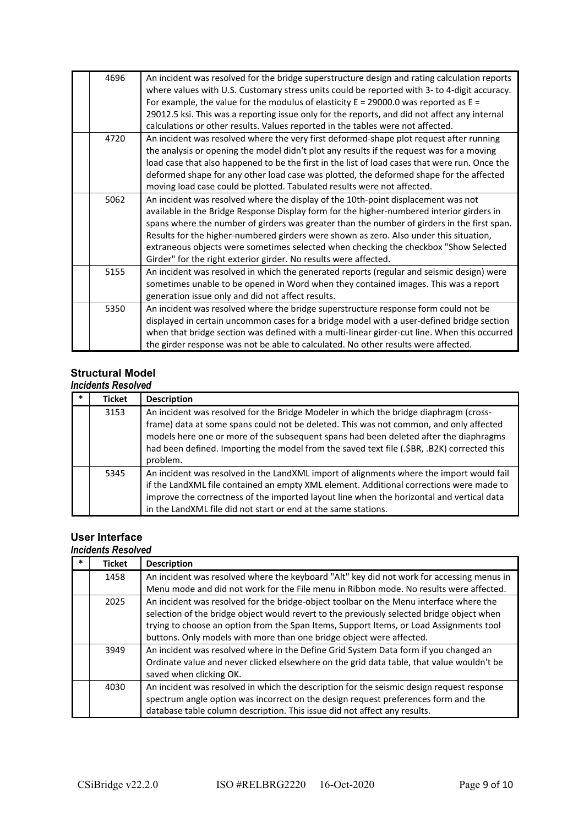| 4696 | An incident was resolved for the bridge superstructure design and rating calculation reports   |
|------|------------------------------------------------------------------------------------------------|
|      | where values with U.S. Customary stress units could be reported with 3- to 4-digit accuracy.   |
|      | For example, the value for the modulus of elasticity $E = 29000.0$ was reported as $E =$       |
|      | 29012.5 ksi. This was a reporting issue only for the reports, and did not affect any internal  |
|      | calculations or other results. Values reported in the tables were not affected.                |
| 4720 | An incident was resolved where the very first deformed-shape plot request after running        |
|      | the analysis or opening the model didn't plot any results if the request was for a moving      |
|      | load case that also happened to be the first in the list of load cases that were run. Once the |
|      | deformed shape for any other load case was plotted, the deformed shape for the affected        |
|      | moving load case could be plotted. Tabulated results were not affected.                        |
| 5062 | An incident was resolved where the display of the 10th-point displacement was not              |
|      | available in the Bridge Response Display form for the higher-numbered interior girders in      |
|      | spans where the number of girders was greater than the number of girders in the first span.    |
|      | Results for the higher-numbered girders were shown as zero. Also under this situation,         |
|      | extraneous objects were sometimes selected when checking the checkbox "Show Selected           |
|      | Girder" for the right exterior girder. No results were affected.                               |
| 5155 | An incident was resolved in which the generated reports (regular and seismic design) were      |
|      | sometimes unable to be opened in Word when they contained images. This was a report            |
|      | generation issue only and did not affect results.                                              |
| 5350 | An incident was resolved where the bridge superstructure response form could not be            |
|      | displayed in certain uncommon cases for a bridge model with a user-defined bridge section      |
|      | when that bridge section was defined with a multi-linear girder-cut line. When this occurred   |
|      | the girder response was not be able to calculated. No other results were affected.             |

# **Structural Model**

## *Incidents Resolved*

| $\ast$ | <b>Ticket</b> | <b>Description</b>                                                                                                                                                                                                                                                                                                                                                                  |
|--------|---------------|-------------------------------------------------------------------------------------------------------------------------------------------------------------------------------------------------------------------------------------------------------------------------------------------------------------------------------------------------------------------------------------|
|        | 3153          | An incident was resolved for the Bridge Modeler in which the bridge diaphragm (cross-<br>frame) data at some spans could not be deleted. This was not common, and only affected<br>models here one or more of the subsequent spans had been deleted after the diaphragms<br>had been defined. Importing the model from the saved text file (.\$BR, .B2K) corrected this<br>problem. |
|        | 5345          | An incident was resolved in the LandXML import of alignments where the import would fail<br>if the LandXML file contained an empty XML element. Additional corrections were made to<br>improve the correctness of the imported layout line when the horizontal and vertical data<br>in the LandXML file did not start or end at the same stations.                                  |

#### **User Interface** *Incidents Resolved*

|   | IIILIUCIILS NESUIVEU |                                                                                                                                                                                                                                                                                                                                                        |  |
|---|----------------------|--------------------------------------------------------------------------------------------------------------------------------------------------------------------------------------------------------------------------------------------------------------------------------------------------------------------------------------------------------|--|
| * | Ticket               | <b>Description</b>                                                                                                                                                                                                                                                                                                                                     |  |
|   | 1458                 | An incident was resolved where the keyboard "Alt" key did not work for accessing menus in<br>Menu mode and did not work for the File menu in Ribbon mode. No results were affected.                                                                                                                                                                    |  |
|   | 2025                 | An incident was resolved for the bridge-object toolbar on the Menu interface where the<br>selection of the bridge object would revert to the previously selected bridge object when<br>trying to choose an option from the Span Items, Support Items, or Load Assignments tool<br>buttons. Only models with more than one bridge object were affected. |  |
|   | 3949                 | An incident was resolved where in the Define Grid System Data form if you changed an<br>Ordinate value and never clicked elsewhere on the grid data table, that value wouldn't be<br>saved when clicking OK.                                                                                                                                           |  |
|   | 4030                 | An incident was resolved in which the description for the seismic design request response<br>spectrum angle option was incorrect on the design request preferences form and the<br>database table column description. This issue did not affect any results.                                                                                           |  |